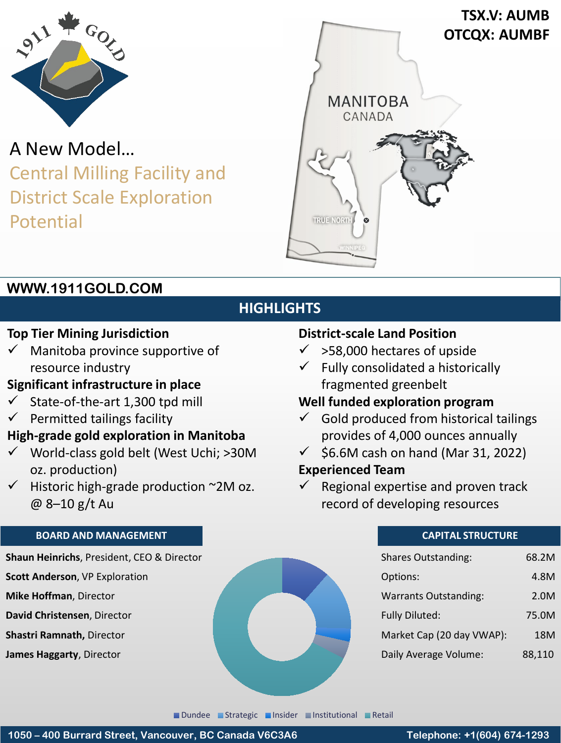

A New Model… Central Milling Facility and District Scale Exploration Potential



## **WWW.1911GOLD.COM**

# **HIGHLIGHTS**

## **Top Tier Mining Jurisdiction**

 Manitoba province supportive of resource industry

## **Significant infrastructure in place**

- $\checkmark$  State-of-the-art 1,300 tpd mill
- $\checkmark$  Permitted tailings facility

### **High-grade gold exploration in Manitoba**

- $\checkmark$  World-class gold belt (West Uchi; >30M oz. production)
- $\checkmark$  Historic high-grade production ~2M oz. @ 8–10 g/t Au

#### **BOARD AND MANAGEMENT**

**Shaun Heinrichs**, President, CEO & Director

- **Scott Anderson**, VP Exploration
- **Mike Hoffman**, Director
- **David Christensen**, Director
- **Shastri Ramnath,** Director

**James Haggarty**, Director

#### **District-scale Land Position**

- $\checkmark$  >58,000 hectares of upside
- $\checkmark$  Fully consolidated a historically fragmented greenbelt

## **Well funded exploration program**

- $\checkmark$  Gold produced from historical tailings provides of 4,000 ounces annually
- $\checkmark$  \$6.6M cash on hand (Mar 31, 2022)

## **Experienced Team**

 $\checkmark$  Regional expertise and proven track record of developing resources

#### **CAPITAL STRUCTURE**

| <b>Shares Outstanding:</b>   | 68.2M  |
|------------------------------|--------|
| Options:                     | 4.8M   |
| <b>Warrants Outstanding:</b> | 2.0M   |
| <b>Fully Diluted:</b>        | 75.0M  |
| Market Cap (20 day VWAP):    | 18M    |
| Daily Average Volume:        | 88,110 |

**Dundee Strategic Insider Institutional Retail**